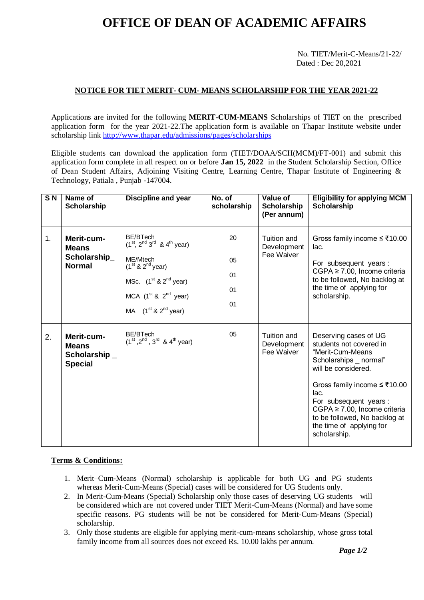# **OFFICE OF DEAN OF ACADEMIC AFFAIRS**

No. TIET/Merit-C-Means/21-22/ Dated : Dec 20,2021

### **NOTICE FOR TIET MERIT- CUM- MEANS SCHOLARSHIP FOR THE YEAR 2021-22**

Applications are invited for the following **MERIT-CUM-MEANS** Scholarships of TIET on the prescribed application form for the year 2021-22.The application form is available on Thapar Institute website under scholarship link<http://www.thapar.edu/admissions/pages/scholarships>

Eligible students can download the application form (TIET/DOAA/SCH(MCM)/FT-001) and submit this application form complete in all respect on or before **Jan 15, 2022** in the Student Scholarship Section, Office of Dean Student Affairs, Adjoining Visiting Centre, Learning Centre, Thapar Institute of Engineering & Technology, Patiala , Punjab -147004.

| SN | Name of<br>Scholarship                                        | <b>Discipline and year</b>                                                                                                                                                    | No. of<br>scholarship      | Value of<br><b>Scholarship</b><br>(Per annum) | <b>Eligibility for applying MCM</b><br><b>Scholarship</b>                                                                                                                                                                                                                                         |
|----|---------------------------------------------------------------|-------------------------------------------------------------------------------------------------------------------------------------------------------------------------------|----------------------------|-----------------------------------------------|---------------------------------------------------------------------------------------------------------------------------------------------------------------------------------------------------------------------------------------------------------------------------------------------------|
| 1. | Merit-cum-<br><b>Means</b><br>Scholarship_<br><b>Normal</b>   | BE/BTech<br>$(1^{st}, 2^{nd}, 3^{rd}, 8, 4^{th},$ year)<br>ME/Mtech<br>$(1st$ & $2nd$ year)<br>MSc. $(1st & 2nd$ year)<br>MCA $(1st$ & $2nd$ year)<br>MA $(1st$ & $2nd$ year) | 20<br>05<br>01<br>01<br>01 | Tuition and<br>Development<br>Fee Waiver      | Gross family income ≤ ₹10.00<br>lac.<br>For subsequent years:<br>CGPA ≥ 7.00, Income criteria<br>to be followed, No backlog at<br>the time of applying for<br>scholarship.                                                                                                                        |
| 2. | Merit-cum-<br><b>Means</b><br>Scholarship _<br><b>Special</b> | BE/BTech<br>$(1^{st}, 2^{nd}, 3^{rd}$ & $4^{th}$ year)                                                                                                                        | 05                         | Tuition and<br>Development<br>Fee Waiver      | Deserving cases of UG<br>students not covered in<br>"Merit-Cum-Means<br>Scholarships normal"<br>will be considered.<br>Gross family income ≤ ₹10.00<br>lac.<br>For subsequent years:<br>CGPA ≥ 7.00, Income criteria<br>to be followed, No backlog at<br>the time of applying for<br>scholarship. |

#### **Terms & Conditions:**

- 1. Merit–Cum-Means (Normal) scholarship is applicable for both UG and PG students whereas Merit-Cum-Means (Special) cases will be considered for UG Students only.
- 2. In Merit-Cum-Means (Special) Scholarship only those cases of deserving UG students will be considered which are not covered under TIET Merit-Cum-Means (Normal) and have some specific reasons. PG students will be not be considered for Merit-Cum-Means (Special) scholarship.
- 3. Only those students are eligible for applying merit-cum-means scholarship, whose gross total family income from all sources does not exceed Rs. 10.00 lakhs per annum.